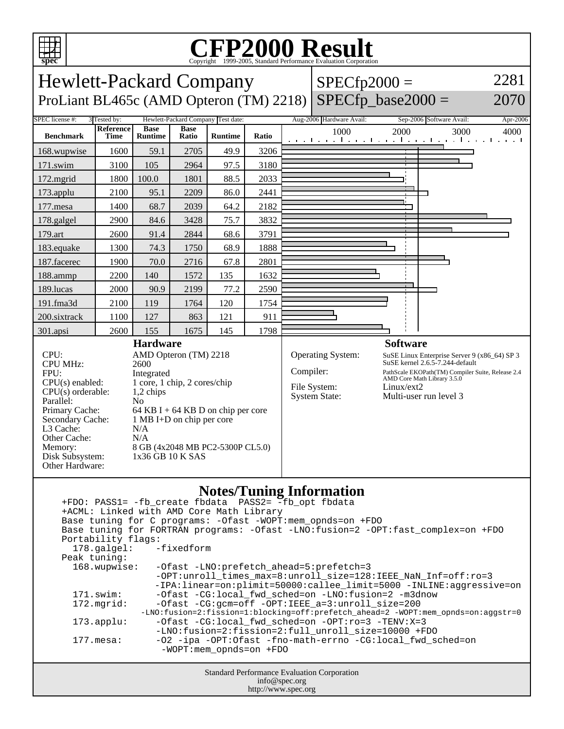

Disk Subsystem: 1x36 GB 10 K SAS

Other Hardware:

## C<sub>opyright</sub> ©1999-2005, Standard Performance Evaluation Corporation

**spec** Hewlett-Packard Company ProLiant BL465c (AMD Opteron (TM)  $2218$ ) SPECfp\_base $2000 =$  $SPECfp2000 =$ 2281 2070 SPEC license #: 3 Tested by: Hewlett-Packard Company Test date: Aug-2006 Hardware Avail: Sep-2006 Software Avail: Apr-2006 **Benchmark Reference Time Base Runtime Base Runtime Ratio** 1000 2000 3000 4000 168.wupwise 1600 59.1 2705 49.9 3206 171.swim | 3100 | 105 | 2964 | 97.5 | 3180 172.mgrid 1800 100.0 1801 88.5 2033 173.applu | 2100 | 95.1 | 2209 | 86.0 | 2441 177.mesa | 1400 | 68.7 | 2039 | 64.2 | 2182 178.galgel | 2900 | 84.6 | 3428 | 75.7 | 3832 179.art | 2600 | 91.4 | 2844 | 68.6 | 3791 183.equake 1300 74.3 1750 68.9 1888 187.facerec | 1900 | 70.0 | 2716 | 67.8 | 2801 188.ammp | 2200 | 140 | 1572 | 135 | 1632 189.lucas | 2000 | 90.9 | 2199 | 77.2 | 2590 191.fma3d 2100 119 1764 120 1754 200.sixtrack 1100 127 863 121 911 301.apsi | 2600 | 155 | 1675 | 145 | 1798 **Hardware** CPU: AMD Opteron (TM) 2218 CPU MHz: 2600 FPU: Integrated CPU(s) enabled: 1 core, 1 chip, 2 cores/chip  $CPU(s)$  orderable:  $1,2$  chips Parallel: No<br>Primary Cache: 64 64 KB I + 64 KB D on chip per core Secondary Cache: 1 MB I+D on chip per core L3 Cache: N/A Other Cache: N/A Memory: 8 GB (4x2048 MB PC2-5300P CL5.0) **Software** Operating System: SuSE Linux Enterprise Server 9 (x86\_64) SP 3 SuSE kernel 2.6.5-7.244-default Compiler: PathScale EKOPath(TM) Compiler Suite, Release 2.4 AMD Core Math Library 3.5.0 File System: Linux/ext2<br>System State: Multi-user Multi-user run level 3

## **Notes/Tuning Information**

Standard Performance Evaluation Corporation info@spec.org +FDO: PASS1= -fb\_create fbdata PASS2= -fb\_opt fbdata +ACML: Linked with AMD Core Math Library Base tuning for C programs: -Ofast -WOPT:mem\_opnds=on +FDO Base tuning for FORTRAN programs: -Ofast -LNO:fusion=2 -OPT:fast\_complex=on +FDO Portability flags: 178.galgel: -fixedform Peak tuning:<br>168.wupwise: -Ofast -LNO:prefetch\_ahead=5:prefetch=3 -OPT:unroll\_times\_max=8:unroll\_size=128:IEEE\_NaN\_Inf=off:ro=3 -IPA:linear=on:plimit=50000:callee\_limit=5000 -INLINE:aggressive=on 171.swim: -Ofast -CG:local\_fwd\_sched=on -LNO:fusion=2 -m3dnow 172.mgrid: -Ofast -CG:gcm=off -OPT:IEEE\_a=3:unroll\_size=200 -LNO:fusion=2:fission=1:blocking=off:prefetch\_ahead=2 -WOPT:mem\_opnds=on:aggstr=0 173.applu: -Ofast -CG:local\_fwd\_sched=on -OPT:ro=3 -TENV:X=3 -LNO:fusion=2:fission=2:full\_unroll\_size=10000 +FDO<br>dipa -OPT:Ofast -fno-math-errno -CG:local\_fwd\_s -02 -ipa -OPT:Ofast -fno-math-errno -CG:local\_fwd\_sched=on -WOPT:mem\_opnds=on +FDO

http://www.spec.org